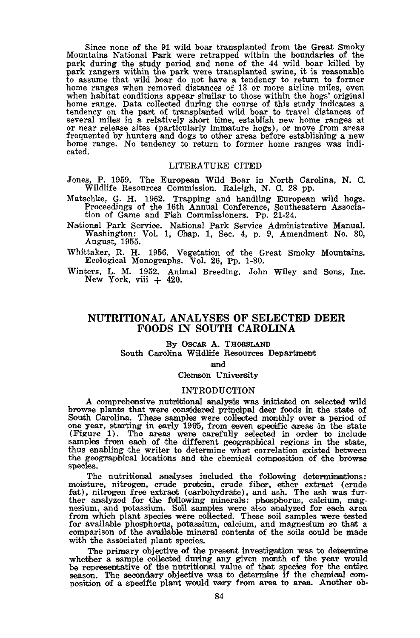Since none of the 91 wild boar transplanted from the Great Smoky Mountains National Park were retrapped within the boundaries of the montants National Park were retrapped and none of the 44 wild boar killed by<br>park during the study period and none of the 44 wild boar killed by<br>park rangers within the park were transplanted swine, it is reasonable<br>to ass when habitat conditions appear similar to those within the hogs' original home range. Data collected during the course of this study indicates a tendency on the part of transplanted wild boar to travel distances of several miles in a relatively short time, establish new home ranges at or near release sites (particularly immature hogs), or move from areas frequented by hunters and dogs to other areas before establishing a new cated.

### LITERATURE CITED

- Jones, P. 1959. The European Wild Boar in North Carolina, N. C. Wildlife Resources Commission. Raleigh, N. C. 28 pp.
- Matschke, G. H. 1962. Trapping and handling European wild hogs.<br>Proceedings of the 16th Annual Conference, Southeastern Association of Game and Fish Commissioners. Pp. 21-24.
- National Park Service. National Park Service Administrative Manual. Washington: Vol. 1, Chap. 1, Sec. 4, p. 9, Amendment No. 30, August, 1955.
- Whittaker, R. H. 1956. Vegetation of the Great Smoky Mountains. Ecological Monographs. Vol. 26, Pp. 1-80.
- Winters, L. M. 1952. Animal Breeding. John Wiley and Sons, Inc. New York, viii  $+420$ .

## NUTRITIONAL ANALYSES OF SELECTED DEER **FOODS IN SOUTH CAROLINA**

## By OSCAR A. THORSLAND

South Carolina Wildlife Resources Department

#### and

Clemson University

#### **INTRODUCTION**

A comprehensive nutritional analysis was initiated on selected wild browse plants that were considered principal deer foods in the state of South Carolina. These samples were collected monthly over a period of one year, starting in early 1965, from seven specific areas in the state (Figure 1). The areas were carefully selected in order to include samples from each of the different geographical regions in the state, thus enabling the writer to determine what correlation existed between<br>the geographical locations and the chemical composition of the browse species.

The nutritional analyses included the following determinations:<br>moisture, nitrogen, crude protein, crude fiber, ether extract (crude<br>fat), nitrogen free extract (carbohydrate), and ash. The ash was further analyzed for the following minerals: phosphorus, calcium, magnesium, and potassium. Soil samples were also analyzed for each area from which plant species were collected. These soil samples were tested for available phosphorus, potassium, calcium, and magnesium so that a comparison of the available mineral contents of the soils could be made with the associated plant species.

The primary objective of the present investigation was to determine whether a sample collected during any given month of the year would be representative of the nutritional value of that species for the entire season. The secondary objective was to determine if the chemical composition of a specific plant would vary from area to area. Another ob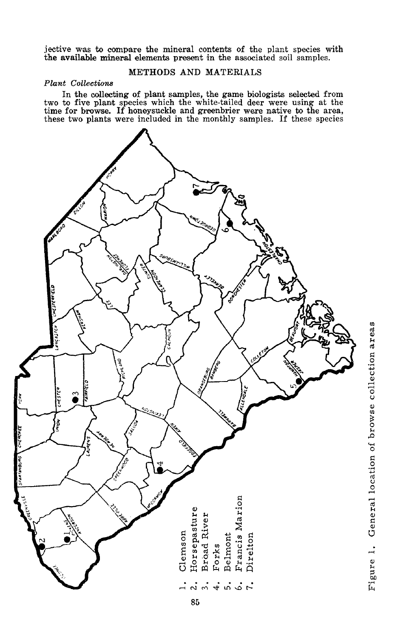jective was to compare the mineral contents of the plant species with the available mineral elements present in the associated soil samples.

## METHODS AND MATERIALS

## **Plant** Collections

In the collecting of plant samples, the game biologists selected from<br>two to five plant species which the white-tailed deer were using at the<br>time for browse. If honeysuckle and greenbrier were native to the area,<br>these tw



Figure 1. General location of browse collection areas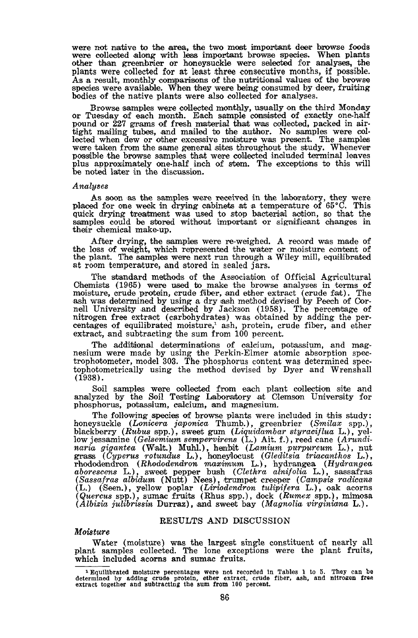were not native to the area, the two most important deer browse foods were collected along with less important browse species. When plants other than greenbrier or honeysuckle were selected for analyses, the plants were collected for at least three consecutive months, if possible.<br>As a result, monthly comparisons of the nutritional values of the browse species were available. When they were being consumed by deer, fruiting bodies of the native plants were also collected for analyses.

Browse samples were collected monthly, usually on the third Monday or Tuesday of each month. Each sample consisted of exactly one-half pound or 227 grams of fresh material that was collected, packed in airtight mailing tubes, and mailed to the author. No samples were collected when dew or other excessive moisture was present. The samples were taken from the same general sites throughout the study. Whenever possible the browse samples that were collected included terminal leaves plus approximately one-half inch of stem. The exceptions to this will be noted later in the discussion.

#### Analyses

As soon as the samples were received in the laboratory, they were placed for one week in drying cabinets at a temperature of  $65^{\circ}$ C. This quick drying treatment was used to stop bacterial action, so that the samples could be stored without important or significant changes in their chemical make-up.

After drying, the samples were re-weighed. A record was made of the loss of weight, which represented the water or moisture content of the plant. The samples were next run through a Wiley mill, equilibrated at room temperature, and stored in sealed jars.

The standard methods of the Association of Official Agricultural Chemists (1965) were used to make the browse analyses in terms of<br>moisture, crude protein, crude fiber, and ether extract (crude fat). The<br>ash was determined by using a dry ash method devised by Peech of Cor-<br>nell Universi nitrogen free extract (carbohydrates) was obtained by adding the percentages of equilibrated moisture,<sup>1</sup> ash, protein, crude fiber, and ether extract, and subtracting the sum from 100 percent.

The additional determinations of calcium, potassium, and magnesium were made by using the Perkin-Elmer atomic absorption spectrophotometer, model 303. The phosphorus content was determined spectophotometrically using the m  $(1938).$ 

Soil samples were collected from each plant collection site and analyzed by the Soil Testing Laboratory at Clemson University for phosphorus, potassium, calcium, and magnesium.

The following species of browse plants were included in this study: honeysuckle (Lonicera japonica Thumb.), greenbrier (Smilax spp.), blackberry (Rubus spp.), sweet gum (Liquidambar styraciflua L.), yelblackberry (*Rubus* spp.), sweet gum (*Liquidambar styracifua* L.), yellow jessamine (*Gelsemium sempervirens* (L.) Ait. f.), reed cane (*Arundinaria gigantea* (Walk.) Muhl.), hembit (*Lamium purpureum L.*), nutrinary are  $(Albizia julibrisin Durraz)$ , and sweet bay  $(Magnolia virginiana L.).$ 

#### RESULTS AND DISCUSSION

### Moisture

Water (moisture) was the largest single constituent of nearly all plant samples collected. The lone exceptions were the plant fruits, which included acorns and sumac fruits.

 $1$  Equilibrated moisture percentages were not recorded in Tables 1 to 5. They can be determined by adding crude protein, ether extract, crude fiber, ash, and nitrogen free extract together and subtracting the sum from 10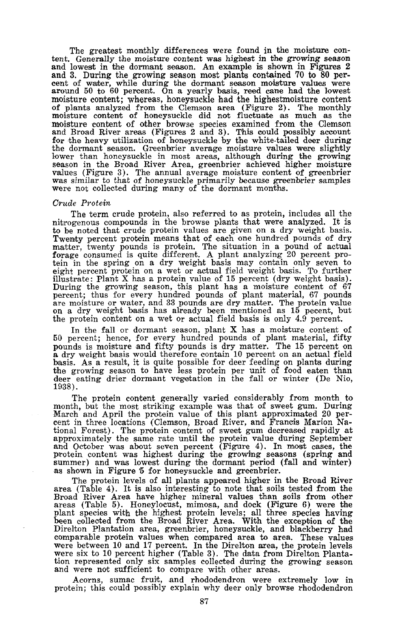The greatest monthly differences were found in the moisture content. Generally the moisture content was highest in the growing season and lowest in the dormant season. An example is shown in Figures 2 and 3. During the growing season most plants contained 70 to 80 percent of water, while during the dormant season moisture values were<br>around 50 to 60 percent. On a yearly basis, reed cane had the lowest moisture content; whereas, honeysuckle had the highest moisture content noisture content, whereas, more of plants analyzed from the Clemson area (Figure 2). The monthly moisture content of honeysuckle did not fluctuate as much as the moisture content of other browse species examined from the C the dormant season. Greenbrier average moisture values were slightly lower than honeysuckle in most areas, although during the growing season in the Broad River Area, greenbrier achieved higher moisture values (Figure 3). The annual average moisture content of greenbrier was similar to that of honeysuckle primarily because greenbrier samples were not collected during many of the dormant months.

#### Crude Protein

The term crude protein, also referred to as protein, includes all the nitrogenous compounds in the browse plants that were analyzed. It is the beneficial compounds in the browse prains that were analyzed. It is<br>to be noted that crude protein values are given on a dry weight basis.<br>Twenty percent protein means that of each one hundred pounds of dry<br>matter, twe illustrate: Plant X has a protein value of 15 percent (dry weight basis). During the growing season, this plant has a moisture content of 67<br>percent; thus for every hundred pounds of plant material, 67 pounds pare moisture or water, and 33 pounds are dry matter. The protein value<br>on a dry weight basis has already been mentioned as 15 pecent, but<br>the protein content on a wet or actual field basis is only 4.9 percent.

In the fall or dormant season, plant  $X$  has a moisture content of 50 percent; hence, for every hundred pounds of plant material, fifty pounds is moisture and ritty pounds is dry matter. The 15 percent on a dry weight basis would therefore contain 10 percent on an actual field basis. As a result, it is quite possible for deer feeding on plants during the g pounds is moisture and fifty pounds is dry matter. The 15 percent on

The protein content generally varied considerably from month to month, but the most striking example was that of sweet gum. During March and April the protein value of this plant approximated 20 percent in three locations (Clemson, Broad River, and Francis Marion National Forest). The protein content of sweet gum decreased rapidly at those approximately the same rate until the protein value during September and October was about seven percent (Figure 4). In most cases, the protein co as shown in Figure 5 for honeysuckle and greenbrier.

The protein levels of all plants appeared higher in the Broad River area (Table 4). It is also interesting to note that soils tested from the Broad River Area have higher mineral values than soils from other Broad Kiver Area have inguer inimeral values what some of the plant species with the highest protein levels; all three species having been collected from the Broad River Area. With the exception of the Direlton Plantation comparable protein values when compared area to area. These values were between 10 and 17 percent. In the Direction area, the protein levels<br>were six to 10 percent higher (Table 3). The data from Direction Planta-<br>tion represented only six samples collected during the growing season and were not sufficient to compare with other areas.

Acorns, sumac fruit, and rhododendron were extremely low in protein; this could possibly explain why deer only browse rhododendron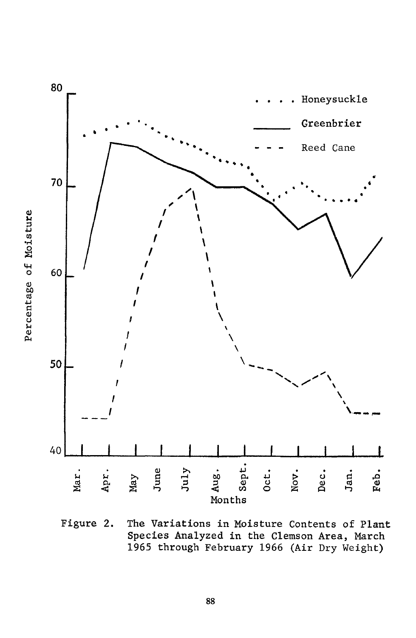

Figure 2. The Variations in Moisture Contents of Plant Species Analyzed in the Clemson Area, March 1965 through February 1966 (Air Dry Weight)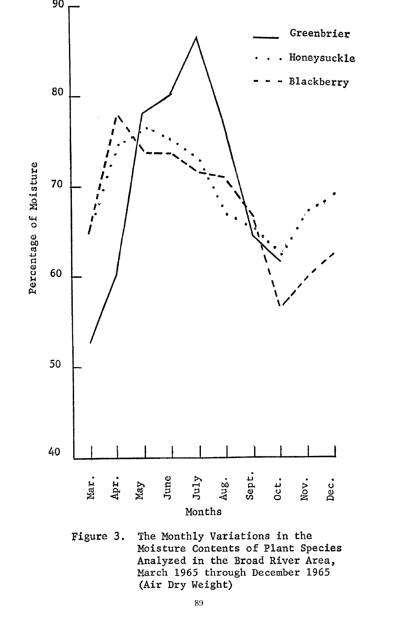

Figure 3. The Monthly Variations in the Moisture Contents of Plant Species Analyzed in the Broad River Area, March 1965 through December 1965 (Air Dry Weight)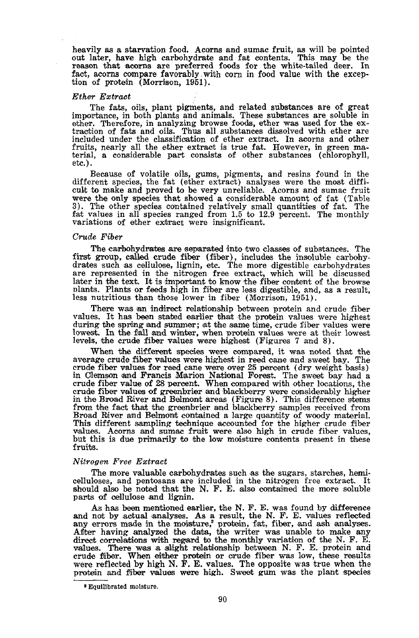heavily as a starvation food. Acorns and sumac fruit, as will be pointed out later, have high carbohydrate and fat contents. This may be the reason that acorns are preferred foods for the white-tailed deer. In fact, acorns compare favorably with corn in food value with the exception of protein (Morrison, 1951).

#### Ether Extract

The fats, oils, plant pigments, and related substances are of great importance, in both plants and animals. These substances are soluble in ether. Therefore, in analyzing browse foods, ether was used for the extraction of fruits, nearly all the ether extract is true fat. However, in green material, a considerable part consists of other substances (chlorophyll,  $etc.$ ).

Because of volatile oils, gums, pigments, and resins found in the different species, the fat (ether extract) analyses were the most difficult to make and proved to be very unreliable. Acorns and sumac fruit were the only species that showed a considerable amount of fat (Table 3). The other species contained relatively small quantities of fat. The fat values in all species ranged from  $1.5$  to  $12.9$  percent. The monthly variations of ether extract were insignificant.

#### Crude Fiber

The carbohydrates are separated into two classes of substances. The first group, called crude fiber (fiber), includes the insoluble carbohydrates such as cellulose, lignin, etc. The more digestible carbohydrates are represented in the nitrogen free extract, which will be discussed later in the text. It is important to know the fiber content of the browse plants. Plants or feeds high in fiber are less digestible, and, as a result, less nutritious than those lower in fiber (Morrison, 1951).

There was an indirect relationship between protein and crude fiber values. It has been stated earlier that the protein values were highest during the spring and summer; at the same time, crude fiber values were lowest. In the fall and winter, when protein values were at their lowest levels, the crude fiber values were highest (Figures 7 and 8).

When the different species were compared, it was noted that the average crude fiber values were highest in reed cane and sweet bay. The crude fiber values for reed cane were over 25 percent (dry weight basis) in Clemson and Francis Marion National Forest. The sweet bay had a crude fiber value of 28 percent. When compared with other locations, the crude fiber values of greenbrier and blackberry were considerably higher in the Broad River and Belmont areas (Figure 8). This difference stems<br>from the fact that the greenbrier and blackberry samples received from Broad River and Belmont contained a large quantity of woody material. This different sampling technique accounted for the higher crude fiber values. Acorns and sumac fruit were also high in crude fiber values, but this is due primarily to the low moisture contents present in these fruits.

#### Nitrogen Free Extract

The more valuable carbohydrates such as the sugars, starches, hemicelluloses, and pentosans are included in the nitrogen free extract. It should also be noted that the N. F. E. also contained the more soluble parts of cellulose and lignin.

As has been mentioned earlier, the N. F. E. was found by difference and not by actual analyses. As a result, the N. F. E. values reflected<br>any errors made in the moisture,<sup>2</sup> protein, fat, fiber, and ash analyses.<br>After having analyzed the data, the writer was unable to make any<br>direct cor crude fiber. When either protein or crude fiber was low, these results<br>were reflected by high N. F. E. values. The opposite was true when the protein and fiber values were high. Sweet gum was the plant species

<sup>&</sup>lt;sup>2</sup> Equilibrated moisture.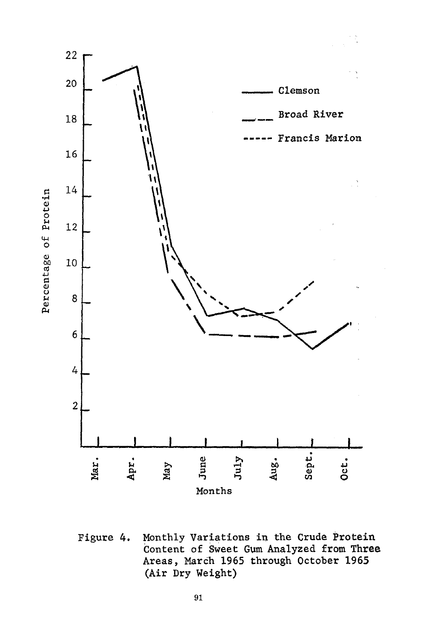

Monthly Variations in the Crude Protein Figure 4. Content of Sweet Gum Analyzed from Three Areas, March 1965 through October 1965 (Air Dry Weight)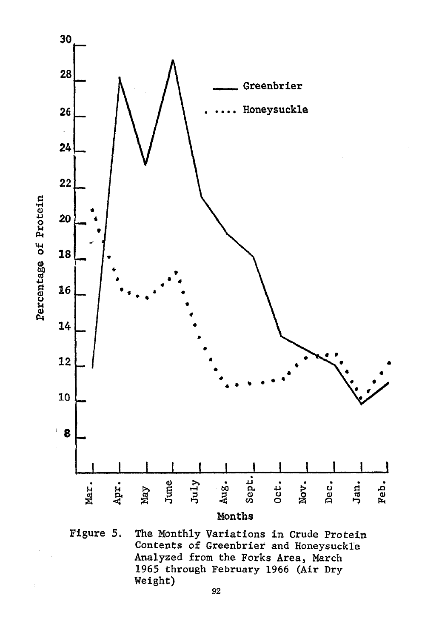

Figure 5. The Monthly Variations in Crude Protein Contents of Greenbrier and Honeysuckle Analyzed from the Forks Area, March 1965 through February 1966 (Air Dry Weight)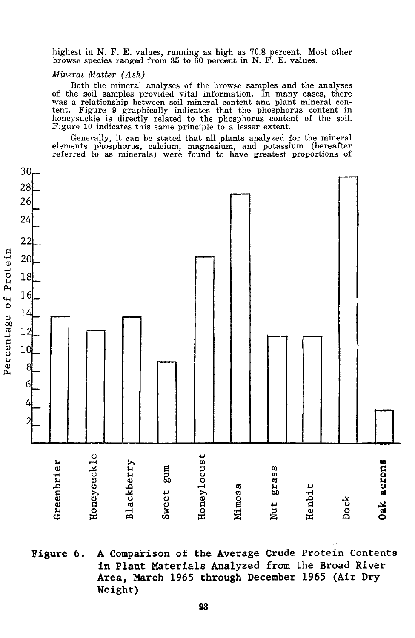highest in N. F. E. values, running as high as 70.8 percent. Most other browse species ranged from 35 to 60 percent in N. F. E. values.

### Mineral Matter (Ash)

Both the mineral analyses of the browse samples and the analyses of the soil samples provided vital information. In many cases, there was a relationship between soil mineral content and plant mineral content. Figure 9 graphically indicates that the phosphorus content in honeysuckle is directly related to the phosphorus content of the soil. Figure 10 indicates this same principle to a lesser extent.

Generally, it can be stated that all plants analyzed for the mineral elements phosphorus, calcium, magnesium, and potassium (hereafter referred to as minerals) were found to have greatest proportions of



Figure 6. A Comparison of the Average Crude Protein Contents in Plant Materials Analyzed from the Broad River Area, March 1965 through December 1965 (Air Dry Weight)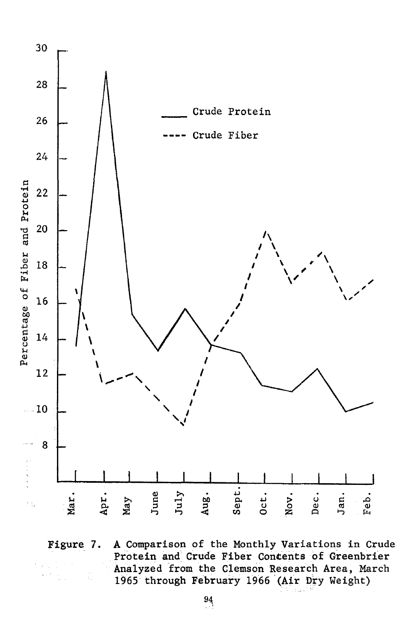

A Comparison of the Monthly Variations in Crude Figure 7. Protein and Crude Fiber Concents of Greenbrier Analyzed from the Clemson Research Area, March 1965 through February 1966 (Air Dry Weight)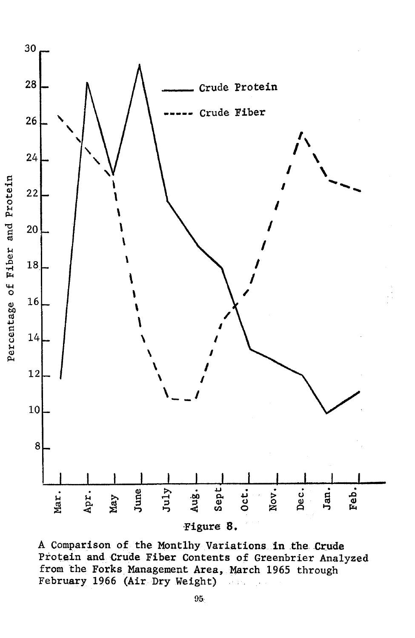

A Comparison of the Montlhy Variations in the Crude Protein and Crude Fiber Contents of Greenbrier Analyzed from the Forks Management Area, March 1965 through February 1966 (Air Dry Weight)  $\sim$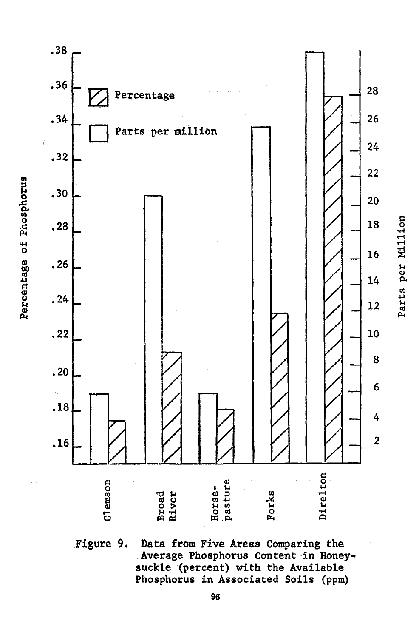

Figure 9. Data from Five Areas Comparing the Average Phosphorus Content in Honeysuckle (percent) with the Available Phosphorus in Associated Soils (ppm)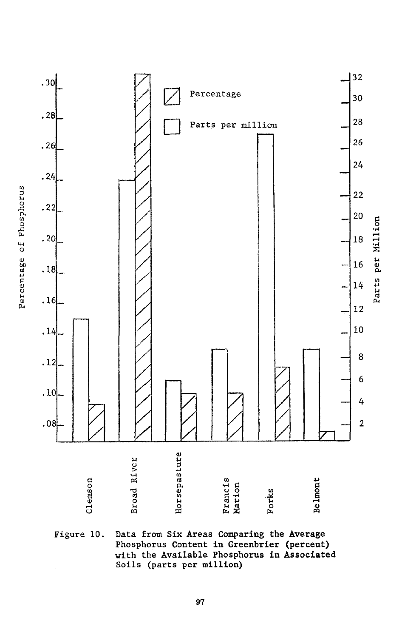

Figure 10. Data from Six Areas Comparing the Average Phosphorus Content in Greenbrier (percent) with the Available Phosphorus in Associated Soils (parts per million)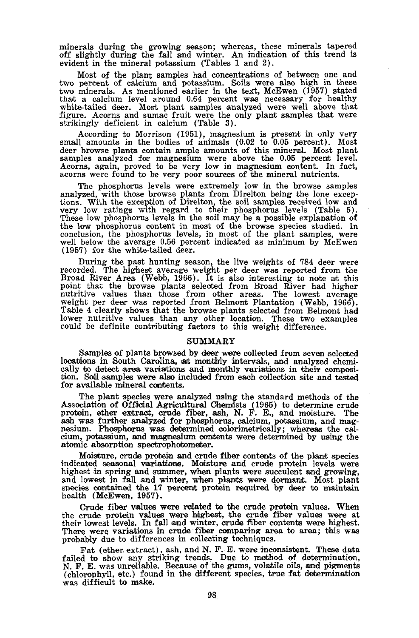minerals during the growing season; whereas, these minerals tapered off slightly during the fall and winter. An indication of this trend is evident in the mineral potassium (Tables 1 and 2).

Most of the plant samples had concentrations of between one and two percent of calcium and potassium. Soils were also high in these two minerals. As mentioned earlier in the text, McEwen (1957) stated that a calcium level around 0.64 percent was necessary for healthy<br>white-tailed deer. Most plant samples analyzed were well above that<br>figure. Acorns and sumac fruit were the only plant samples that were<br>strikingly deficie

According to Morrison (1951), magnesium is present in only very small amounts in the bodies of animals  $(0.02 \text{ to } 0.05 \text{ percent})$ . Most shear hounds in the boutes of the minimals (control and the samples analyzed for magnesium were above the 0.05 percent level.<br>Acorns, again, proved to be very low in magnesium content. In fact, acorns were found to be very

The phosphorus levels were extremely low in the browse samples analyzed, with those browse plants from Direlton being the lone exceptions. With the exception of Direlton, the soil samples received low and very low ratings with regard to their phosphorus levels (Table 5). These low phosphorus levels in the soil may be a possible explanation of the low phosphorus content in most of the browse species studied. In conclusion, the phosphorus levels, in most of the plant samples, were<br>well below the average 0.56 percent indicated as minimum by McEwen (1957) for the white-tailed deer.

During the past hunting season, the live weights of 784 deer were recorded. The highest average weight per deer was reported from the recorded. The ingless average weight per deep that the broad River Area (Webb, 1966). It is also interesting to note at this point that the browse plants selected from Broad River had higher nutritive values than those fro lower nutritive values than any other location. These two examples could be definite contributing factors to this weight difference.

### **SUMMARY**

Samples of plants browsed by deer were collected from seven selected locations in South Carolina, at monthly intervals, and analyzed chemically to detect area variations and monthly variations in their composition. Soil samples were also included from each collection site and tested for available mineral contents.

The plant species were analyzed using the standard methods of the ne plane species were calcultural Chemists (1965) to determine crude<br>protein, ether extract, crude fiber, ash, N. F. E., and moisture. The<br>ash was further analyzed for phosphorus, calcium, potassium, and magnesium. Phospho cium, potassium, and magnesium contents were determined by using the atomic absorption spectrophotometer.

Moisture, crude protein and crude fiber contents of the plant species indicated seasonal variations. Moisture and crude protein levels were<br>highest in spring and summer, when plants were succulent and growing, and lowest in fall and winter, when plants were dormant. Most plant species contained the 17 percent protein required by deer to maintain<br>health (McEwen, 1957).

Crude fiber values were related to the crude protein values. When the crude protein values were highest, the crude fiber values were at their lowest levels. In fall and winter, crude fiber contents were highest. There were variations in crude fiber comparing area to area; this was probably due to differences in collecting techniques.

Fat (ether extract), ash, and N. F. E. were inconsistent. These data failed to show any striking trends. Due to method of determination, N. F. E. was unreliable. Because of the gums, volatile oils, and pigments (chlorophyl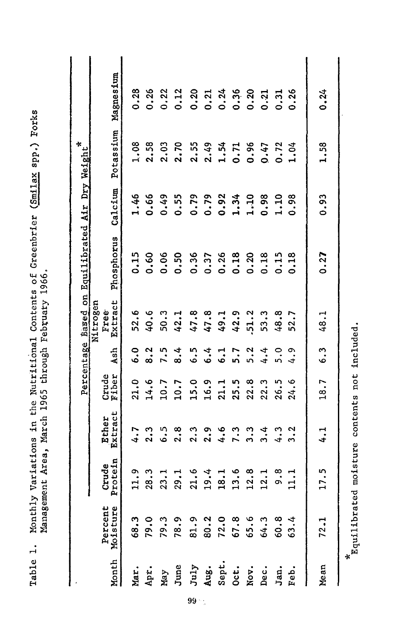|              |                     |                  |                    |                |               |                             | Percentage Based on Equilibrated Air Dry Weight* |         |           |           |
|--------------|---------------------|------------------|--------------------|----------------|---------------|-----------------------------|--------------------------------------------------|---------|-----------|-----------|
| <b>Month</b> | Percent<br>Moisture | Protein<br>Crude | Extract<br>Extract | Crude<br>Tiber | Ash           | Extract<br>Nitrogen<br>Free | Phosphorus                                       | Calcium | Potassium | Magnesium |
| Mar.         | 68.3                | 11.9             | 4.7                | 21.0           | $\ddot{6}$ .0 | 52.6                        | 0.15                                             | 1.46    | 1.08      | 0.28      |
| Apr.         | 79.0                | 28.3             | 2.3                | 14.6           | 8.2           | 40.6                        | 0.60                                             | 0.66    | 2.58      | 0.26      |
| Nay          | 79.3                | 23.1             | 6.5                | 10.7           | 7.5           | 50.3                        | 0.06                                             | 0.49    | 2.03      | 0.22      |
| June         | 78.9                | 29.1             | 2.8                | 10.7           | 8.4           | 42.1                        | 0.50                                             | 0.55    | 2.70      | 0.12      |
| July         | 81.9                | 21.6             | 2.3                | 15.0           | $\ddot{6}$ .  | 47.8                        | 0.36                                             | 0.79    | 2.55      | 0.20      |
| Aug.         | 80.2                | 19.4             | 2.9                | 16.9           | 6.4           | 47.8                        | 0.37                                             | 0.79    | 2.49      | 0.21      |
| Sept.        | 72.0                | 18.1             | 4.6                | 21.1           | 6.1           | 49.1                        | 0.26                                             | 0.92    | 1.54      | 0.24      |
| Oct.         | 67.8                | 13.6             | 7.3                | 25.5           | 5.7           | 42.9                        | 0.18                                             | 1.34    | 0.71      | 0.36      |
| Nov.         | 65.6                | 12.8             | 3.3                | 22.8           | 5.2           | $-51.2$                     | 0.20                                             | 1.10    | 0.96      | 0.20      |
| Dec.         | 64.3                | 12.1             | 3.4                | 22.3           | 4.4           | 53.3                        | 0.18                                             | 0.98    | 0.47      | 0.21      |
| Jan.         | 60.8                | 9.8              | 4.3                | 26.5           | $\ddot{5}$ .  | 48.8                        | 0.15                                             | 1.10    | 0.72      | 0.31      |
| Feb.         | 63.4                | 11.1             | 3.2                | 24.6           | $\ddot{ }$ .  | 52.                         | 0.18                                             | 0.98    | 1.04      | 0.26      |
| Mean         | 72.1                | 17.5             | 1.1                | 18.7           | 6.3           | 48.1                        | 0.27                                             | 0.93    | 1.58      | 0.24      |

Monthly Variations in the Nutritional Contents of Greenbrier (Smilax spp.) Forks<br>Management Area, March 1965 through February 1966. Table 1.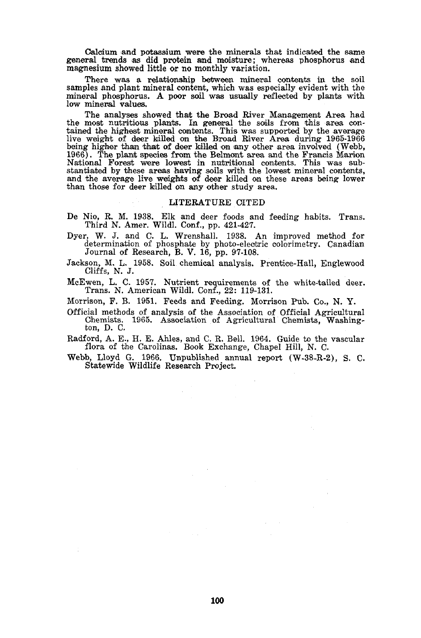Calcium and potassium were the minerals that indicated the same general trends as did protein and moisture; whereas phosphorus and magnesium showed little or no monthly variation.

There was a relationship between mineral contents in the soil samples and plant mineral content, which was especially evident with the mineral phosphorus. A poor soil was usually reflected by plants with low mineral values.

The analyses showed that the Broad River Management Area had the most nutritious plants. In general the soils from this area contained the highest mineral contents. This was supported by the average live weight of deer killed on the Broad River Area during 1965-1966 being higher than that of deer killed on any other area involved (Webb, 1966). The plant species from the Belmont area and the Francis Marion National Forest were lowest in nutritional contents. This was substantiated by these areas having soils with the lowest mineral contents, and the average live weights of deer killed on these areas being lower than those for deer killed on any other study area.

#### LITERATURE CITED

- De Nio, R. M. 1938. Elk and deer foods and feeding habits. Trans. Third N. Amer. Wildl. Conf., pp. 421-427.
- Dyer, W. J. and C. L. Wrenshall. 1938. An improved method for determination of phosphate by photo-electric colorimetry. Canadian Journal of Research, B. V. 16, pp. 97-108.
- Jackson, M. L. 1958. Soil chemical analysis. Prentice-Hall, Englewood Cliffs, N. J.
- McEwen, L. C. 1957. Nutrient requirements of the white-tailed deer. Trans. N. American Wildl. Conf., 22: 119-131.

Morrison, F. B. 1951. Feeds and Feeding. Morrison Pub. Co., N. Y.

Official methods of analysis of the Association of Official Agricultural Chemists. 1965. Association of Agricultural Chemists, Washington, D. C.

Radford, A. E., H. E. Ahles, and C. R. Bell. 1964. Guide to the vascular flora of the Carolinas. Book Exchange, Chapel Hill, N. C.

Webb, Lloyd G. 1966. Unpublished annual report (W-38-R-2), S. C. Statewide Wildlife Research Project.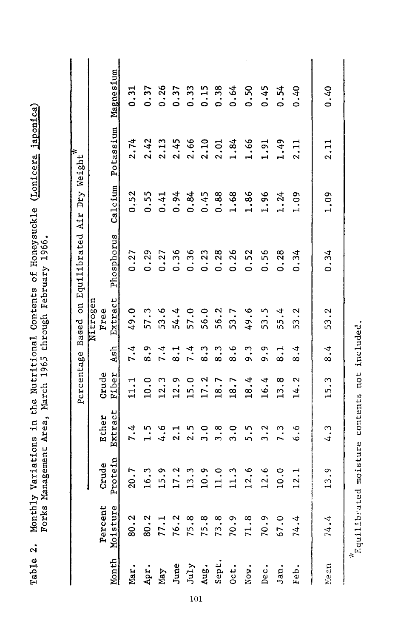| Magnesium<br>Potassium<br>Based on Equilibrated Air Dry Weight*<br>Calcium<br>Phosphorus<br>Extract<br>Free | 0.31<br>2.74<br>0.52<br>0.27<br>49.0 | 0.37<br>2.42<br>0.55<br>0.29<br>57.3 | 0.26<br>2.13<br>0.41<br>0.27<br>53.6        | 0.37<br>2.45<br>0.94<br>0.36<br>54.4 | 0.33<br>2.66<br>0.84<br>0.36<br>57.0 | 0.15<br>2.10<br>0.45<br>0.23<br>56.0 | 0.38<br>2.01<br>0.88<br>0.28<br>56.2 | 0.64<br>1.84<br>1.68<br>0.26<br>53.7 | 0.50<br>1.66<br>1.86<br>0.52<br>49.6                            | 0.45<br>1.91<br>1.96<br>0.56<br>53.5 | 0.54<br>1.49<br>1.24<br>0.28<br>55.4 | 0.40<br>2.11<br>1.09<br>0.34<br>53.2 | 0.40<br>2.11<br>1.09<br>0.34<br>53.2 |
|-------------------------------------------------------------------------------------------------------------|--------------------------------------|--------------------------------------|---------------------------------------------|--------------------------------------|--------------------------------------|--------------------------------------|--------------------------------------|--------------------------------------|-----------------------------------------------------------------|--------------------------------------|--------------------------------------|--------------------------------------|--------------------------------------|
| Nitrogen<br>Ash<br>Percentage<br>Crude<br>Fiber                                                             | 7.4                                  | 8.9                                  | 7.4                                         | 8.1                                  | 7.4<br>15.0                          | 8.3<br>17.2                          | 8.3                                  | 8.6                                  | ი<br>თ.                                                         | 9.9                                  | $\frac{1}{8}$                        | 8.4                                  | 8.4                                  |
| Extract<br>Ether<br>Protein<br>Crude                                                                        | 11.1<br>7.4<br>20.7                  | 10.0<br>1.5<br>16.3                  | 12.3<br>4.6<br>15.9                         | 12.9<br>2.1<br>17.2                  | 2.5<br>13.3                          | 3.0<br>10.9                          | 18.7<br>3.8<br>11.0                  | 18.7<br>3.0<br>11.3                  | 18.4<br>5.5<br>12.6                                             | 16.4<br>3.2<br>12.6                  | 13.8<br>7.3<br>10.0                  | 14.2<br>ه .<br>ف<br>12.1             | 15.3<br>$\frac{3}{4}$<br>13.9        |
| 11<br>മ<br>Percent<br>Nonth Moisture                                                                        | 80.2<br>Mar.                         | 80.2                                 | 77.1<br>Apr.<br>May<br>June<br>July<br>Aug. |                                      |                                      |                                      | Sept.                                | Oct.                                 | $76.3$ $75.8$ $75.3$ $73.5$ $76.9$ $76.3$ $76.3$ $76.3$<br>Nov. | Dec.                                 | 67.0<br>Jan.                         | 74.4<br>Feb.                         | 74.4<br>Mean                         |

Monthly Variations in the Nutritional Contents of Honeysuckle (Lonicera japonica)<br>Forks Management Area, March 1965 through February 1966.

Table 2.

\*<br>Fquilibrated moisture contents not included.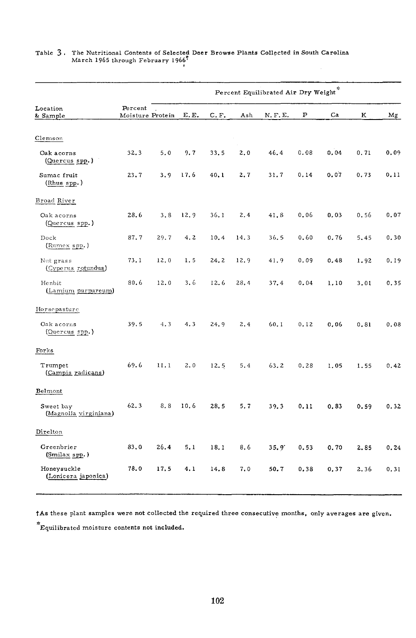|                                    |                             |      |      |      |      | Percent Equilibrated Air Dry Weight* |      |      |      |       |
|------------------------------------|-----------------------------|------|------|------|------|--------------------------------------|------|------|------|-------|
| Location<br>& Sample               | Percent<br>Moisture Protein |      | E.E. | C.F. | Ash  | N, F, E.                             | P    | Ca   | ĸ    | Μg    |
| Clemson                            |                             |      |      |      |      |                                      |      |      |      |       |
| Oak acorns<br>(Quercus spp.)       | 32.3                        | 5.0  | 9.7  | 33.5 | 2.0  | 46.4                                 | 0.08 | 0.04 | 0.71 | 0.09  |
| Sumac fruit<br>(Rhus spp.)         | 23.7                        | 3.9  | 17.6 | 40.1 | 2.7  | 31.7                                 | 0.14 | 0.07 | 0.73 | 0, 11 |
| Broad River                        |                             |      |      |      |      |                                      |      |      |      |       |
| Oak acorns<br>(Quercus spp.)       | 28.6                        | 3, 8 | 12.9 | 36.1 | 2.4  | 41.8                                 | 0.06 | 0.03 | 0.56 | 0.07  |
| Dock<br>(Rumex spp.)               | 87.7                        | 29.7 | 4.2  | 10.4 | 14.3 | 36.5                                 | 0.60 | 0.76 | 5.45 | 0.30  |
| Nut grass<br>(Cyperus rotundus)    | 73.1                        | 12.0 | 1.5  | 24.2 | 12.9 | 41.9                                 | 0.09 | 0.48 | 1.92 | 0.19  |
| Henbit<br>(Lamium purpureum)       | 80.6                        | 12.0 | 3.6  | 12.6 | 28.4 | 37.4                                 | 0.04 | 1.10 | 3.01 | 0.35  |
| Horsepasture                       |                             |      |      |      |      |                                      |      |      |      |       |
| Oak acorns<br>(Quercus spp.)       | 39.5                        | 4.3  | 4.3  | 24.9 | 2.4  | 60.1                                 | 0.12 | 0.06 | 0.81 | 0.08  |
| Forks                              |                             |      |      |      |      |                                      |      |      |      |       |
| Trumpet<br>(Campis radicans)       | 69.6                        | 11.1 | 2.0  | 12.5 | 5.4  | 63.2                                 | 0.28 | 1.05 | 1.55 | 0.42  |
| Belmont                            |                             |      |      |      |      |                                      |      |      |      |       |
| Sweet bay<br>(Magnolia virginiana) | 62.3                        | 8.8  | 10.6 | 28.5 | 5.7  | 39.3                                 | 0.11 | 0.83 | 0.59 | 0.32  |
| Direlton                           |                             |      |      |      |      |                                      |      |      |      |       |
| Greenbrier<br>(Smilax spp.)        | 83,0                        | 26.4 | 5.1  | 18.1 | 8.6  | 35.9'                                | 0.53 | 0.70 | 2.85 | 0.24  |
| Honeysuckle<br>(Lonicera japonica) | 78.0                        | 17.5 | 4.1  | 14.8 | 7.0  | 50.7                                 | 0.38 | 0.37 | 2.36 | 0.31  |

# Table 3. The Nutritional Contents of Selected Deer Browse Plants Collected in South Carolina March 1965 through February 1966

tAs these plant samples were not collected the required three consecutive months, only averages are given.

Equilibrated moisture contents not included.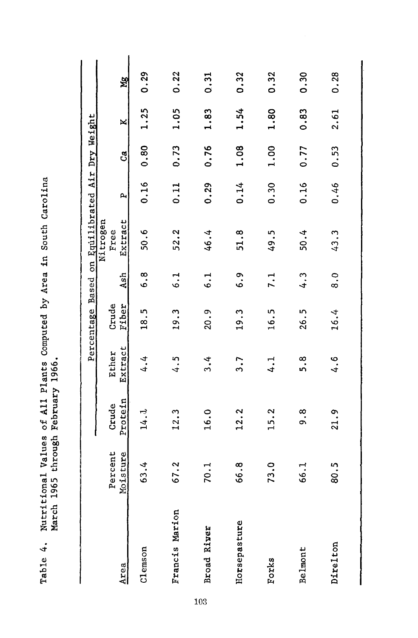|                    |                     |                  |                  |                |                  | Percentage Based on Equilibrated Air Dry Weight |      |      |      |      |
|--------------------|---------------------|------------------|------------------|----------------|------------------|-------------------------------------------------|------|------|------|------|
| Area               | Percent<br>Moisture | Protein<br>Crude | Extract<br>Ether | Fiber<br>Crude | Ash              | Nitrogen<br>Extract<br>Free                     | A,   | ්    | ×    | ya   |
| Clemson            | 63.4                | 14.1             | 4.4              | 18.5           | $\frac{8}{6}$    | 50.6                                            | 0.16 | 0.80 | 1.25 | 0.29 |
| Francis Marion     | 67.2                | 12.3             | 4.5              | 19.3           | 6.1              | 52.2                                            | 0.11 | 0.73 | 1.05 | 0.22 |
| <b>Broad River</b> | 70.1                | 16.0             | $\frac{4}{3}$    | 20.9           | $\ddot{6}$ .     | 46.4                                            | 0.29 | 0.76 | 1.83 | 0.31 |
| Horsepasture       | 66.8                | 12.2             | 3.7              | 19.3           | 6.9              | 51.8                                            | 0.14 | 1.08 | 1.54 | 0.32 |
| Forks              | 73.0                | 15.2             | 4.1              | 16.5           | $\overline{7}$ . | 49.5                                            | 0.30 | 1.00 | 1.80 | 0.32 |
| Belmont            | 66.1                | თ<br>თ           | თ.<br>5          | 26.5           | $\frac{3}{4}$    | 50.4                                            | 0.16 | 0.77 | 0.83 | 0.30 |
| Direlton           | 80.5                | 21.9             | 4.6              | 16.4           | $\ddot{\circ}$   | 43.3                                            | 0.46 | 0.53 | 2.61 | 0.28 |

Nutritional Values of All Plants Computed by Area in South Carolina<br>March 1965 through February 1966. Table 4.